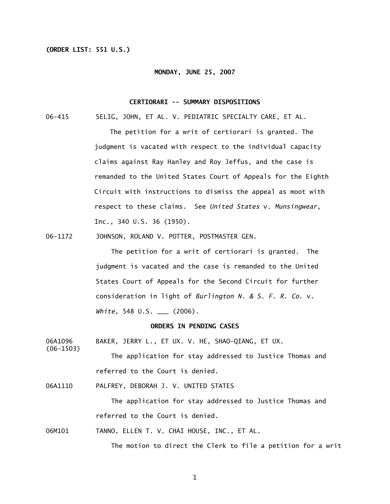## **(ORDER LIST: 551 U.S.)**

(06-1503)

#### **MONDAY, JUNE 25, 2007**

### **CERTIORARI -- SUMMARY DISPOSITIONS**

06-415 SELIG, JOHN, ET AL. V. PEDIATRIC SPECIALTY CARE, ET AL.

 The petition for a writ of certiorari is granted. The judgment is vacated with respect to the individual capacity claims against Ray Hanley and Roy Jeffus, and the case is remanded to the United States Court of Appeals for the Eighth Circuit with instructions to dismiss the appeal as moot with respect to these claims. See *United States* v. *Munsingwear*, Inc., 340 U.S. 36 (1950).

06-1172 JOHNSON, ROLAND V. POTTER, POSTMASTER GEN.

 The petition for a writ of certiorari is granted. The judgment is vacated and the case is remanded to the United States Court of Appeals for the Second Circuit for further consideration in light of *Burlington N. & S. F. R. Co*. v. *White*, 548 U.S. \_\_\_ (2006).

### **ORDERS IN PENDING CASES**

06A1096 BAKER, JERRY L., ET UX. V. HE, SHAO-QIANG, ET UX.

 The application for stay addressed to Justice Thomas and referred to the Court is denied.

06A1110 PALFREY, DEBORAH J. V. UNITED STATES

 The application for stay addressed to Justice Thomas and referred to the Court is denied.

06M101 TANNO, ELLEN T. V. CHAI HOUSE, INC., ET AL.

The motion to direct the Clerk to file a petition for a writ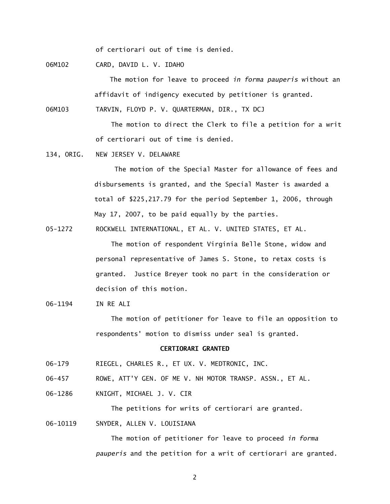of certiorari out of time is denied.

06M102 CARD, DAVID L. V. IDAHO

 The motion for leave to proceed *in forma pauperis* without an affidavit of indigency executed by petitioner is granted.

06M103 TARVIN, FLOYD P. V. QUARTERMAN, DIR., TX DCJ

 The motion to direct the Clerk to file a petition for a writ of certiorari out of time is denied.

134, ORIG. NEW JERSEY V. DELAWARE

 The motion of the Special Master for allowance of fees and disbursements is granted, and the Special Master is awarded a total of \$225,217.79 for the period September 1, 2006, through May 17, 2007, to be paid equally by the parties.

05-1272 ROCKWELL INTERNATIONAL, ET AL. V. UNITED STATES, ET AL.

 The motion of respondent Virginia Belle Stone, widow and personal representative of James S. Stone, to retax costs is granted. Justice Breyer took no part in the consideration or decision of this motion.

06-1194 IN RE ALI

 The motion of petitioner for leave to file an opposition to respondents' motion to dismiss under seal is granted.

## **CERTIORARI GRANTED**

- 06-179 RIEGEL, CHARLES R., ET UX. V. MEDTRONIC, INC.
- 06-457 ROWE, ATT'Y GEN. OF ME V. NH MOTOR TRANSP. ASSN., ET AL.
- 06-1286 KNIGHT, MICHAEL J. V. CIR

The petitions for writs of certiorari are granted.

06-10119 SNYDER, ALLEN V. LOUISIANA

 The motion of petitioner for leave to proceed *in forma pauperis* and the petition for a writ of certiorari are granted.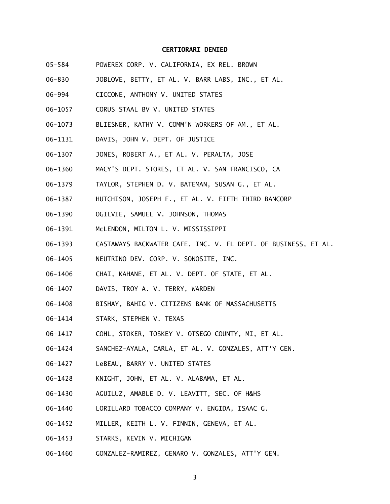### **CERTIORARI DENIED**

- 05-584 POWEREX CORP. V. CALIFORNIA, EX REL. BROWN
- 06-830 JOBLOVE, BETTY, ET AL. V. BARR LABS, INC., ET AL.
- 06-994 CICCONE, ANTHONY V. UNITED STATES
- 06-1057 CORUS STAAL BV V. UNITED STATES
- 06-1073 BLIESNER, KATHY V. COMM'N WORKERS OF AM., ET AL.
- 06-1131 DAVIS, JOHN V. DEPT. OF JUSTICE
- 06-1307 JONES, ROBERT A., ET AL. V. PERALTA, JOSE
- 06-1360 MACY'S DEPT. STORES, ET AL. V. SAN FRANCISCO, CA
- 06-1379 TAYLOR, STEPHEN D. V. BATEMAN, SUSAN G., ET AL.
- 06-1387 HUTCHISON, JOSEPH F., ET AL. V. FIFTH THIRD BANCORP
- 06-1390 OGILVIE, SAMUEL V. JOHNSON, THOMAS
- 06-1391 McLENDON, MILTON L. V. MISSISSIPPI
- 06-1393 CASTAWAYS BACKWATER CAFE, INC. V. FL DEPT. OF BUSINESS, ET AL.
- 06-1405 NEUTRINO DEV. CORP. V. SONOSITE, INC.
- 06-1406 CHAI, KAHANE, ET AL. V. DEPT. OF STATE, ET AL.
- 06-1407 DAVIS, TROY A. V. TERRY, WARDEN
- 06-1408 BISHAY, BAHIG V. CITIZENS BANK OF MASSACHUSETTS
- 06-1414 STARK, STEPHEN V. TEXAS
- 06-1417 COHL, STOKER, TOSKEY V. OTSEGO COUNTY, MI, ET AL.
- 06-1424 SANCHEZ-AYALA, CARLA, ET AL. V. GONZALES, ATT'Y GEN.
- 06-1427 LeBEAU, BARRY V. UNITED STATES
- 06-1428 KNIGHT, JOHN, ET AL. V. ALABAMA, ET AL.
- 06-1430 AGUILUZ, AMABLE D. V. LEAVITT, SEC. OF H&HS
- 06-1440 LORILLARD TOBACCO COMPANY V. ENGIDA, ISAAC G.
- 06-1452 MILLER, KEITH L. V. FINNIN, GENEVA, ET AL.
- 06-1453 STARKS, KEVIN V. MICHIGAN
- 06-1460 GONZALEZ-RAMIREZ, GENARO V. GONZALES, ATT'Y GEN.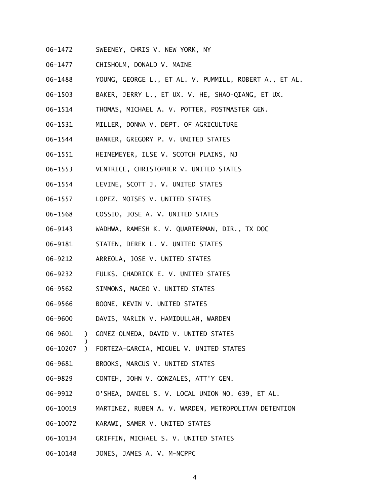- 06-1472 SWEENEY, CHRIS V. NEW YORK, NY
- 06-1477 CHISHOLM, DONALD V. MAINE
- 06-1488 YOUNG, GEORGE L., ET AL. V. PUMMILL, ROBERT A., ET AL.
- 06-1503 BAKER, JERRY L., ET UX. V. HE, SHAO-QIANG, ET UX.
- 06-1514 THOMAS, MICHAEL A. V. POTTER, POSTMASTER GEN.
- 06-1531 MILLER, DONNA V. DEPT. OF AGRICULTURE
- 06-1544 BANKER, GREGORY P. V. UNITED STATES
- 06-1551 HEINEMEYER, ILSE V. SCOTCH PLAINS, NJ
- 06-1553 VENTRICE, CHRISTOPHER V. UNITED STATES
- 06-1554 LEVINE, SCOTT J. V. UNITED STATES
- 06-1557 LOPEZ, MOISES V. UNITED STATES
- 06-1568 COSSIO, JOSE A. V. UNITED STATES
- 06-9143 WADHWA, RAMESH K. V. QUARTERMAN, DIR., TX DOC
- 06-9181 STATEN, DEREK L. V. UNITED STATES
- 06-9212 ARREOLA, JOSE V. UNITED STATES
- 06-9232 FULKS, CHADRICK E. V. UNITED STATES
- 06-9562 SIMMONS, MACEO V. UNITED STATES
- 06-9566 BOONE, KEVIN V. UNITED STATES

 $\overline{\phantom{a}}$ 

- 06-9600 DAVIS, MARLIN V. HAMIDULLAH, WARDEN
- 06-9601 ) GOMEZ-OLMEDA, DAVID V. UNITED STATES
- 06-10207 ) FORTEZA-GARCIA, MIGUEL V. UNITED STATES
- 06-9681 BROOKS, MARCUS V. UNITED STATES
- 06-9829 CONTEH, JOHN V. GONZALES, ATT'Y GEN.
- 06-9912 O'SHEA, DANIEL S. V. LOCAL UNION NO. 639, ET AL.
- 06-10019 MARTINEZ, RUBEN A. V. WARDEN, METROPOLITAN DETENTION
- 06-10072 KARAWI, SAMER V. UNITED STATES
- 06-10134 GRIFFIN, MICHAEL S. V. UNITED STATES
- 06-10148 JONES, JAMES A. V. M-NCPPC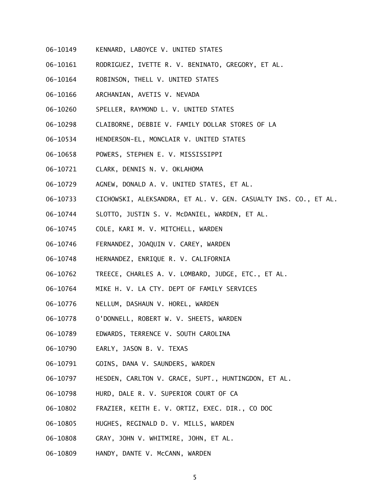- 06-10149 KENNARD, LABOYCE V. UNITED STATES
- 06-10161 RODRIGUEZ, IVETTE R. V. BENINATO, GREGORY, ET AL.
- 06-10164 ROBINSON, THELL V. UNITED STATES
- 06-10166 ARCHANIAN, AVETIS V. NEVADA
- 06-10260 SPELLER, RAYMOND L. V. UNITED STATES
- 06-10298 CLAIBORNE, DEBBIE V. FAMILY DOLLAR STORES OF LA
- 06-10534 HENDERSON-EL, MONCLAIR V. UNITED STATES
- 06-10658 POWERS, STEPHEN E. V. MISSISSIPPI
- 06-10721 CLARK, DENNIS N. V. OKLAHOMA
- 06-10729 AGNEW, DONALD A. V. UNITED STATES, ET AL.
- 06-10733 CICHOWSKI, ALEKSANDRA, ET AL. V. GEN. CASUALTY INS. CO., ET AL.
- 06-10744 SLOTTO, JUSTIN S. V. McDANIEL, WARDEN, ET AL.
- 06-10745 COLE, KARI M. V. MITCHELL, WARDEN
- 06-10746 FERNANDEZ, JOAQUIN V. CAREY, WARDEN
- 06-10748 HERNANDEZ, ENRIQUE R. V. CALIFORNIA
- 06-10762 TREECE, CHARLES A. V. LOMBARD, JUDGE, ETC., ET AL.
- 06-10764 MIKE H. V. LA CTY. DEPT OF FAMILY SERVICES
- 06-10776 NELLUM, DASHAUN V. HOREL, WARDEN
- 06-10778 O'DONNELL, ROBERT W. V. SHEETS, WARDEN
- 06-10789 EDWARDS, TERRENCE V. SOUTH CAROLINA
- 06-10790 EARLY, JASON B. V. TEXAS
- 06-10791 GOINS, DANA V. SAUNDERS, WARDEN
- 06-10797 HESDEN, CARLTON V. GRACE, SUPT., HUNTINGDON, ET AL.
- 06-10798 HURD, DALE R. V. SUPERIOR COURT OF CA
- 06-10802 FRAZIER, KEITH E. V. ORTIZ, EXEC. DIR., CO DOC
- 06-10805 HUGHES, REGINALD D. V. MILLS, WARDEN
- 06-10808 GRAY, JOHN V. WHITMIRE, JOHN, ET AL.
- 06-10809 HANDY, DANTE V. McCANN, WARDEN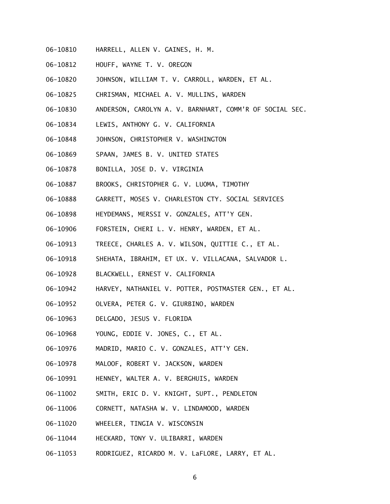- 06-10810 HARRELL, ALLEN V. GAINES, H. M.
- 06-10812 HOUFF, WAYNE T. V. OREGON
- 06-10820 JOHNSON, WILLIAM T. V. CARROLL, WARDEN, ET AL.
- 06-10825 CHRISMAN, MICHAEL A. V. MULLINS, WARDEN
- 06-10830 ANDERSON, CAROLYN A. V. BARNHART, COMM'R OF SOCIAL SEC.
- 06-10834 LEWIS, ANTHONY G. V. CALIFORNIA
- 06-10848 JOHNSON, CHRISTOPHER V. WASHINGTON
- 06-10869 SPAAN, JAMES B. V. UNITED STATES
- 06-10878 BONILLA, JOSE D. V. VIRGINIA
- 06-10887 BROOKS, CHRISTOPHER G. V. LUOMA, TIMOTHY
- 06-10888 GARRETT, MOSES V. CHARLESTON CTY. SOCIAL SERVICES
- 06-10898 HEYDEMANS, MERSSI V. GONZALES, ATT'Y GEN.
- 06-10906 FORSTEIN, CHERI L. V. HENRY, WARDEN, ET AL.
- 06-10913 TREECE, CHARLES A. V. WILSON, QUITTIE C., ET AL.
- 06-10918 SHEHATA, IBRAHIM, ET UX. V. VILLACANA, SALVADOR L.
- 06-10928 BLACKWELL, ERNEST V. CALIFORNIA
- 06-10942 HARVEY, NATHANIEL V. POTTER, POSTMASTER GEN., ET AL.
- 06-10952 OLVERA, PETER G. V. GIURBINO, WARDEN
- 06-10963 DELGADO, JESUS V. FLORIDA
- 06-10968 YOUNG, EDDIE V. JONES, C., ET AL.
- 06-10976 MADRID, MARIO C. V. GONZALES, ATT'Y GEN.
- 06-10978 MALOOF, ROBERT V. JACKSON, WARDEN
- 06-10991 HENNEY, WALTER A. V. BERGHUIS, WARDEN
- 06-11002 SMITH, ERIC D. V. KNIGHT, SUPT., PENDLETON
- 06-11006 CORNETT, NATASHA W. V. LINDAMOOD, WARDEN
- 06-11020 WHEELER, TINGIA V. WISCONSIN
- 06-11044 HECKARD, TONY V. ULIBARRI, WARDEN
- 06-11053 RODRIGUEZ, RICARDO M. V. LaFLORE, LARRY, ET AL.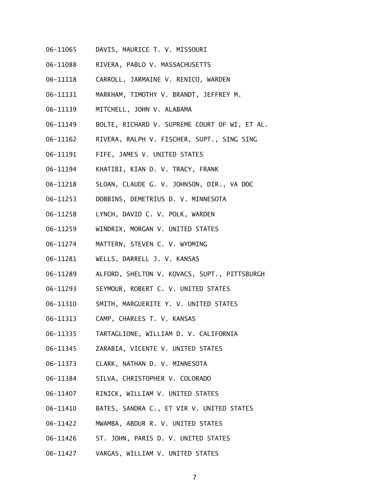- 06-11065 DAVIS, MAURICE T. V. MISSOURI
- 06-11088 RIVERA, PABLO V. MASSACHUSETTS
- 06-11118 CARROLL, JARMAINE V. RENICO, WARDEN
- 06-11131 MARKHAM, TIMOTHY V. BRANDT, JEFFREY M.
- 06-11139 MITCHELL, JOHN V. ALABAMA
- 06-11149 BOLTE, RICHARD V. SUPREME COURT OF WI, ET AL.
- 06-11162 RIVERA, RALPH V. FISCHER, SUPT., SING SING
- 06-11191 FIFE, JAMES V. UNITED STATES
- 06-11194 KHATIBI, KIAN D. V. TRACY, FRANK
- 06-11218 SLOAN, CLAUDE G. V. JOHNSON, DIR., VA DOC
- 06-11253 DOBBINS, DEMETRIUS D. V. MINNESOTA
- 06-11258 LYNCH, DAVID C. V. POLK, WARDEN
- 06-11259 WINDRIX, MORGAN V. UNITED STATES
- 06-11274 MATTERN, STEVEN C. V. WYOMING
- 06-11281 WELLS, DARRELL J. V. KANSAS
- 06-11289 ALFORD, SHELTON V. KOVACS, SUPT., PITTSBURGH
- 06-11293 SEYMOUR, ROBERT C. V. UNITED STATES
- 06-11310 SMITH, MARGUERITE Y. V. UNITED STATES
- 06-11313 CAMP, CHARLES T. V. KANSAS
- 06-11335 TARTAGLIONE, WILLIAM D. V. CALIFORNIA
- 06-11345 ZARABIA, VICENTE V. UNITED STATES
- 06-11373 CLARK, NATHAN D. V. MINNESOTA
- 06-11384 SILVA, CHRISTOPHER V. COLORADO
- 06-11407 RINICK, WILLIAM V. UNITED STATES
- 06-11410 BATES, SANDRA C., ET VIR V. UNITED STATES
- 06-11422 MWAMBA, ABDUR R. V. UNITED STATES
- 06-11426 ST. JOHN, PARIS D. V. UNITED STATES
- 06-11427 VARGAS, WILLIAM V. UNITED STATES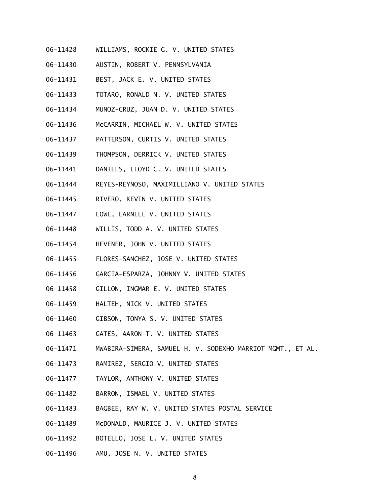- 06-11428 WILLIAMS, ROCKIE G. V. UNITED STATES
- 06-11430 AUSTIN, ROBERT V. PENNSYLVANIA
- 06-11431 BEST, JACK E. V. UNITED STATES
- 06-11433 TOTARO, RONALD N. V. UNITED STATES
- 06-11434 MUNOZ-CRUZ, JUAN D. V. UNITED STATES
- 06-11436 McCARRIN, MICHAEL W. V. UNITED STATES
- 06-11437 PATTERSON, CURTIS V. UNITED STATES
- 06-11439 THOMPSON, DERRICK V. UNITED STATES
- 06-11441 DANIELS, LLOYD C. V. UNITED STATES
- 06-11444 REYES-REYNOSO, MAXIMILLIANO V. UNITED STATES
- 06-11445 RIVERO, KEVIN V. UNITED STATES
- 06-11447 LOWE, LARNELL V. UNITED STATES
- 06-11448 WILLIS, TODD A. V. UNITED STATES
- 06-11454 HEVENER, JOHN V. UNITED STATES
- 06-11455 FLORES-SANCHEZ, JOSE V. UNITED STATES
- 06-11456 GARCIA-ESPARZA, JOHNNY V. UNITED STATES
- 06-11458 GILLON, INGMAR E. V. UNITED STATES
- 06-11459 HALTEH, NICK V. UNITED STATES
- 06-11460 GIBSON, TONYA S. V. UNITED STATES
- 06-11463 GATES, AARON T. V. UNITED STATES
- 06-11471 MWABIRA-SIMERA, SAMUEL H. V. SODEXHO MARRIOT MGMT., ET AL.
- 06-11473 RAMIREZ, SERGIO V. UNITED STATES
- 06-11477 TAYLOR, ANTHONY V. UNITED STATES
- 06-11482 BARRON, ISMAEL V. UNITED STATES
- 06-11483 BAGBEE, RAY W. V. UNITED STATES POSTAL SERVICE
- 06-11489 McDONALD, MAURICE J. V. UNITED STATES
- 06-11492 BOTELLO, JOSE L. V. UNITED STATES
- 06-11496 AMU, JOSE N. V. UNITED STATES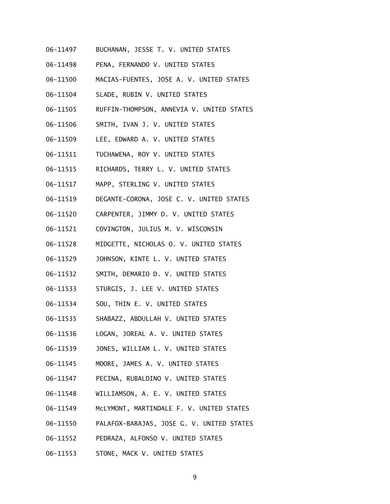- 06-11497 BUCHANAN, JESSE T. V. UNITED STATES
- 06-11498 PENA, FERNANDO V. UNITED STATES
- 06-11500 MACIAS-FUENTES, JOSE A. V. UNITED STATES
- 06-11504 SLADE, RUBIN V. UNITED STATES
- 06-11505 RUFFIN-THOMPSON, ANNEVIA V. UNITED STATES
- 06-11506 SMITH, IVAN J. V. UNITED STATES
- 06-11509 LEE, EDWARD A. V. UNITED STATES
- 06-11511 TUCHAWENA, ROY V. UNITED STATES
- 06-11515 RICHARDS, TERRY L. V. UNITED STATES
- 06-11517 MAPP, STERLING V. UNITED STATES
- 06-11519 DEGANTE-CORONA, JOSE C. V. UNITED STATES
- 06-11520 CARPENTER, JIMMY D. V. UNITED STATES
- 06-11521 COVINGTON, JULIUS M. V. WISCONSIN
- 06-11528 MIDGETTE, NICHOLAS O. V. UNITED STATES
- 06-11529 JOHNSON, KINTE L. V. UNITED STATES
- 06-11532 SMITH, DEMARIO D. V. UNITED STATES
- 06-11533 STURGIS, J. LEE V. UNITED STATES
- 06-11534 SOU, THIN E. V. UNITED STATES
- 06-11535 SHABAZZ, ABDULLAH V. UNITED STATES
- 06-11536 LOGAN, JOREAL A. V. UNITED STATES
- 06-11539 JONES, WILLIAM L. V. UNITED STATES
- 06-11545 MOORE, JAMES A. V. UNITED STATES
- 06-11547 PECINA, RUBALDINO V. UNITED STATES
- 06-11548 WILLIAMSON, A. E. V. UNITED STATES
- 06-11549 McLYMONT, MARTINDALE F. V. UNITED STATES
- 06-11550 PALAFOX-BARAJAS, JOSE G. V. UNITED STATES
- 06-11552 PEDRAZA, ALFONSO V. UNITED STATES
- 06-11553 STONE, MACK V. UNITED STATES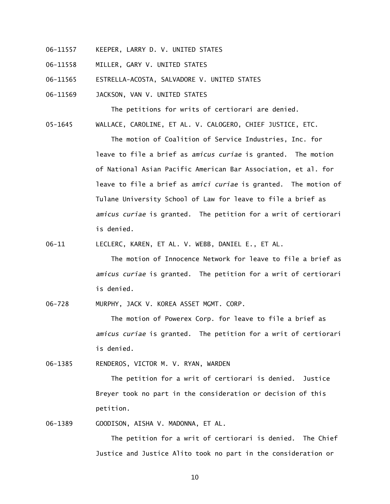- 06-11557 KEEPER, LARRY D. V. UNITED STATES
- 06-11558 MILLER, GARY V. UNITED STATES
- 06-11565 ESTRELLA-ACOSTA, SALVADORE V. UNITED STATES
- 06-11569 JACKSON, VAN V. UNITED STATES

The petitions for writs of certiorari are denied.

05-1645 WALLACE, CAROLINE, ET AL. V. CALOGERO, CHIEF JUSTICE, ETC.

 The motion of Coalition of Service Industries, Inc. for leave to file a brief as *amicus curiae* is granted. The motion of National Asian Pacific American Bar Association, et al. for leave to file a brief as *amici curiae* is granted. The motion of Tulane University School of Law for leave to file a brief as *amicus curiae* is granted. The petition for a writ of certiorari is denied.

06-11 LECLERC, KAREN, ET AL. V. WEBB, DANIEL E., ET AL.

 The motion of Innocence Network for leave to file a brief as *amicus curiae* is granted. The petition for a writ of certiorari is denied.

06-728 MURPHY, JACK V. KOREA ASSET MGMT. CORP.

 The motion of Powerex Corp. for leave to file a brief as *amicus curiae* is granted. The petition for a writ of certiorari is denied.

06-1385 RENDEROS, VICTOR M. V. RYAN, WARDEN

 The petition for a writ of certiorari is denied. Justice Breyer took no part in the consideration or decision of this petition.

06-1389 GOODISON, AISHA V. MADONNA, ET AL.

 The petition for a writ of certiorari is denied. The Chief Justice and Justice Alito took no part in the consideration or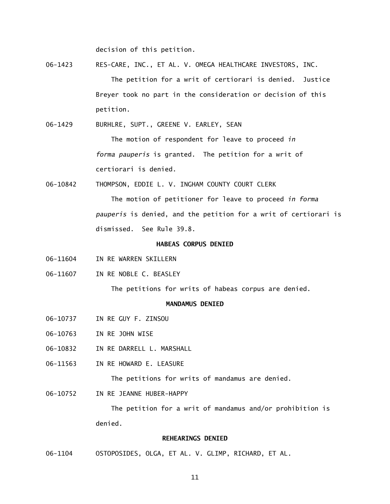decision of this petition.

06-1423 RES-CARE, INC., ET AL. V. OMEGA HEALTHCARE INVESTORS, INC. The petition for a writ of certiorari is denied. Justice Breyer took no part in the consideration or decision of this petition.

06-1429 BURHLRE, SUPT., GREENE V. EARLEY, SEAN

 The motion of respondent for leave to proceed *in forma pauperis* is granted. The petition for a writ of certiorari is denied.

06-10842 THOMPSON, EDDIE L. V. INGHAM COUNTY COURT CLERK

 The motion of petitioner for leave to proceed *in forma pauperis* is denied, and the petition for a writ of certiorari is dismissed. See Rule 39.8.

#### **HABEAS CORPUS DENIED**

- 06-11604 IN RE WARREN SKILLERN
- 06-11607 IN RE NOBLE C. BEASLEY

The petitions for writs of habeas corpus are denied.

#### **MANDAMUS DENIED**

- 06-10737 IN RE GUY F. ZINSOU
- 06-10763 IN RE JOHN WISE
- 06-10832 IN RE DARRELL L. MARSHALL
- 06-11563 IN RE HOWARD E. LEASURE

The petitions for writs of mandamus are denied.

06-10752 TN RF JFANNE HUBER-HAPPY

 The petition for a writ of mandamus and/or prohibition is denied.

#### **REHEARINGS DENIED**

06-1104 OSTOPOSIDES, OLGA, ET AL. V. GLIMP, RICHARD, ET AL.